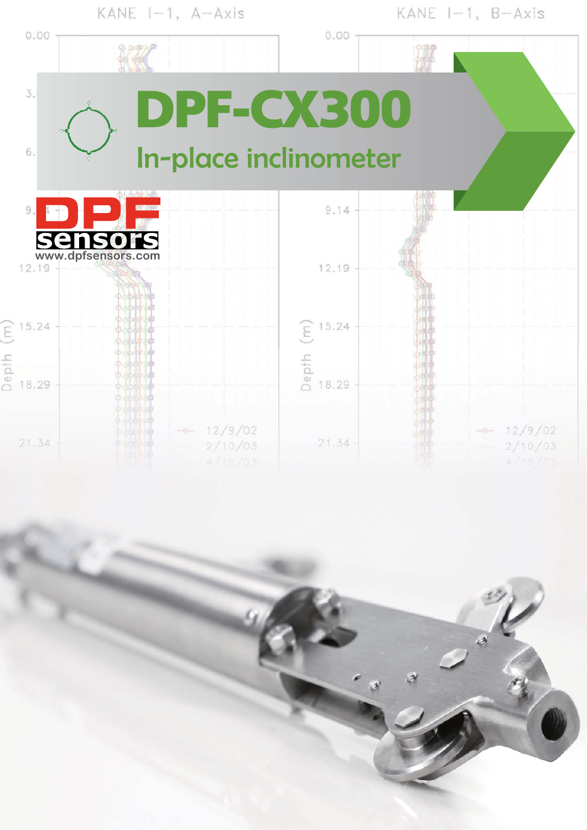

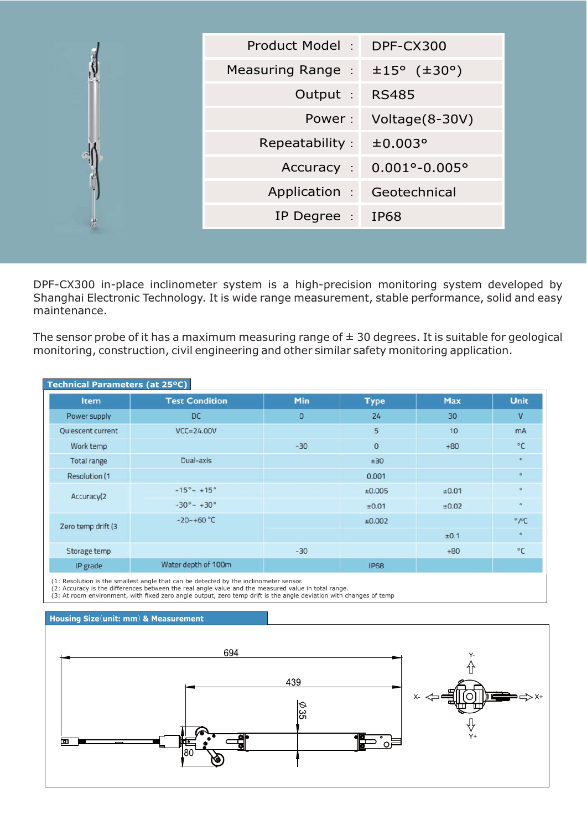| Product Model:<br>DPF-CX300<br>Measuring Range : $\pm 15^{\circ}$ ( $\pm 30^{\circ}$ )<br>Output :<br><b>RS485</b><br>Power:<br>Voltage(8-30V)<br>Repeatability:<br>±0.003°<br>Accuracy : 0.001°-0.005° |
|---------------------------------------------------------------------------------------------------------------------------------------------------------------------------------------------------------|
|                                                                                                                                                                                                         |
|                                                                                                                                                                                                         |
|                                                                                                                                                                                                         |
|                                                                                                                                                                                                         |
|                                                                                                                                                                                                         |
|                                                                                                                                                                                                         |
| Application :<br>Geotechnical                                                                                                                                                                           |
| IP Degree :<br><b>IP68</b>                                                                                                                                                                              |
|                                                                                                                                                                                                         |

DPF-CX300 in-place inclinometer system is a high-precision monitoring system developed by Shanghai Electronic Technology. It is wide range measurement, stable performance, solid and easy maintenance.

The sensor probe of it has a maximum measuring range of  $\pm$  30 degrees. It is suitable for geological monitoring, construction, civil engineering and other similar safety monitoring application.

|                      | Technical Parameters (at 25°C) |         |                |       |                           |  |  |  |
|----------------------|--------------------------------|---------|----------------|-------|---------------------------|--|--|--|
| Item                 | <b>Test Condition</b>          | Min     | <b>Type</b>    | Max   | Unit                      |  |  |  |
| Power supply         | <b>DC</b>                      | $\circ$ | 24             | 30    | $\mathsf{V}$              |  |  |  |
| Quiescent current    | $VCC = 24.00V$                 |         | 5              | 10    | mA                        |  |  |  |
| Work temp            |                                | $-30$   | $\overline{0}$ | $+80$ | $^{\circ}$ C              |  |  |  |
| Total range          | Dual-axis                      |         | ±30            |       | $\circ$                   |  |  |  |
| <b>Resolution (1</b> |                                |         | 0.001          |       | $\circ$                   |  |  |  |
| Accuracy(2           | $-15^{\circ}$ ~ +15°           |         | ±0.005         | ±0.01 | $\circ$                   |  |  |  |
|                      | $-30^{\circ}$ $- +30^{\circ}$  |         | ±0.01          | ±0.02 | $\circ$                   |  |  |  |
| Zero temp drift (3)  | $-20 - +60 °C$                 |         | ±0.002         |       | $^{\circ}$ / $^{\circ}$ C |  |  |  |
|                      |                                |         |                | ±0.1  | $\circ$                   |  |  |  |
| Storage temp         |                                | $-30$   |                | $+80$ | °€                        |  |  |  |
| IP grade             | Water depth of 100m            |         | <b>IP68</b>    |       |                           |  |  |  |

(1: Resolution is the smallest angle that can be detected by the inclinometer sensor.<br>(2: Accuracy is the differences between the real angle value and the measured value in total range.<br>(3: At room environment, with fixed

## **Housing Size (unit: mm) & Measurement**

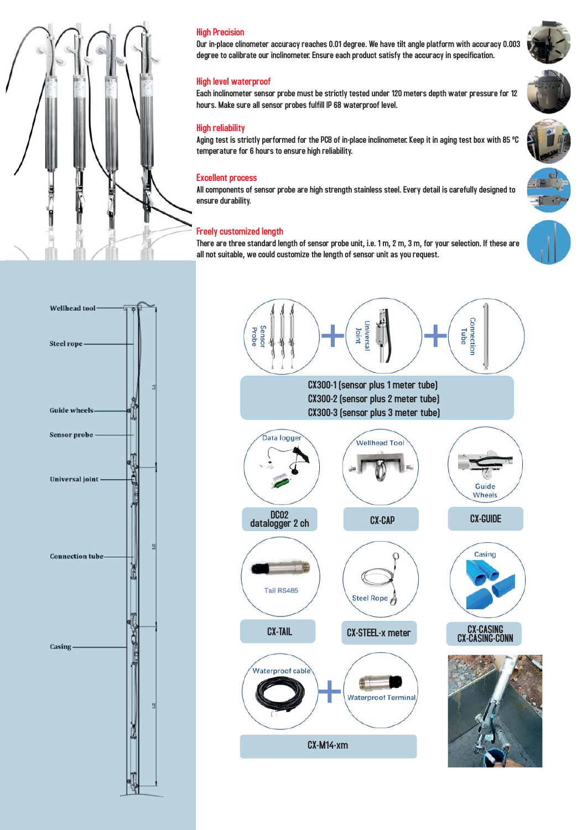

# High Precision

Our in-place clinometer accuracy reaches 0.01 degree. We have tilt angle platform with accuracy 0.003 degree to calibrate our inclinometer. Ensure each product satisfy the accuracy in specification.

### High level waterproof

Each inclinometer sensor probe must be strictly tested under 120 meters depth water pressure for 12 hours. Make sure all sensor probes fulfill IP 68 waterproof level.

#### High reliability

Aging test is strictly performed for the PCB of in-place inclinometer. Keep it in aging test box with 85 ºC temperature for 6 hours to ensure high reliability.

#### Excellent process

All components of sensor probe are high strength stainless steel. Every detail is carefully designed to ensure durability.

#### Freely customized length

There are three standard length of sensor probe unit, i.e. 1 m, 2 m, 3 m, for your selection. If these are all not suitable, we could customize the length of sensor unit as you request.